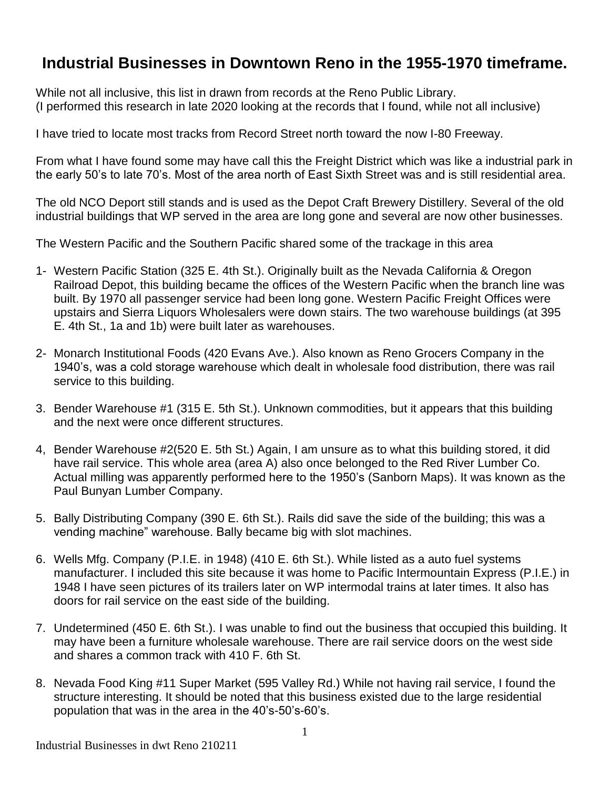## **Industrial Businesses in Downtown Reno in the 1955-1970 timeframe.**

While not all inclusive, this list in drawn from records at the Reno Public Library. (I performed this research in late 2020 looking at the records that I found, while not all inclusive)

I have tried to locate most tracks from Record Street north toward the now I-80 Freeway.

From what I have found some may have call this the Freight District which was like a industrial park in the early 50's to late 70's. Most of the area north of East Sixth Street was and is still residential area.

The old NCO Deport still stands and is used as the Depot Craft Brewery Distillery. Several of the old industrial buildings that WP served in the area are long gone and several are now other businesses.

The Western Pacific and the Southern Pacific shared some of the trackage in this area

- 1- Western Pacific Station (325 E. 4th St.). Originally built as the Nevada California & Oregon Railroad Depot, this building became the offices of the Western Pacific when the branch line was built. By 1970 all passenger service had been long gone. Western Pacific Freight Offices were upstairs and Sierra Liquors Wholesalers were down stairs. The two warehouse buildings (at 395 E. 4th St., 1a and 1b) were built later as warehouses.
- 2- Monarch Institutional Foods (420 Evans Ave.). Also known as Reno Grocers Company in the 1940's, was a cold storage warehouse which dealt in wholesale food distribution, there was rail service to this building.
- 3. Bender Warehouse #1 (315 E. 5th St.). Unknown commodities, but it appears that this building and the next were once different structures.
- 4, Bender Warehouse #2(520 E. 5th St.) Again, I am unsure as to what this building stored, it did have rail service. This whole area (area A) also once belonged to the Red River Lumber Co. Actual milling was apparently performed here to the 1950's (Sanborn Maps). It was known as the Paul Bunyan Lumber Company.
- 5. Bally Distributing Company (390 E. 6th St.). Rails did save the side of the building; this was a vending machine" warehouse. Bally became big with slot machines.
- 6. Wells Mfg. Company (P.I.E. in 1948) (410 E. 6th St.). While listed as a auto fuel systems manufacturer. I included this site because it was home to Pacific Intermountain Express (P.I.E.) in 1948 I have seen pictures of its trailers later on WP intermodal trains at later times. It also has doors for rail service on the east side of the building.
- 7. Undetermined (450 E. 6th St.). I was unable to find out the business that occupied this building. It may have been a furniture wholesale warehouse. There are rail service doors on the west side and shares a common track with 410 F. 6th St.
- 8. Nevada Food King #11 Super Market (595 Valley Rd.) While not having rail service, I found the structure interesting. It should be noted that this business existed due to the large residential population that was in the area in the 40's-50's-60's.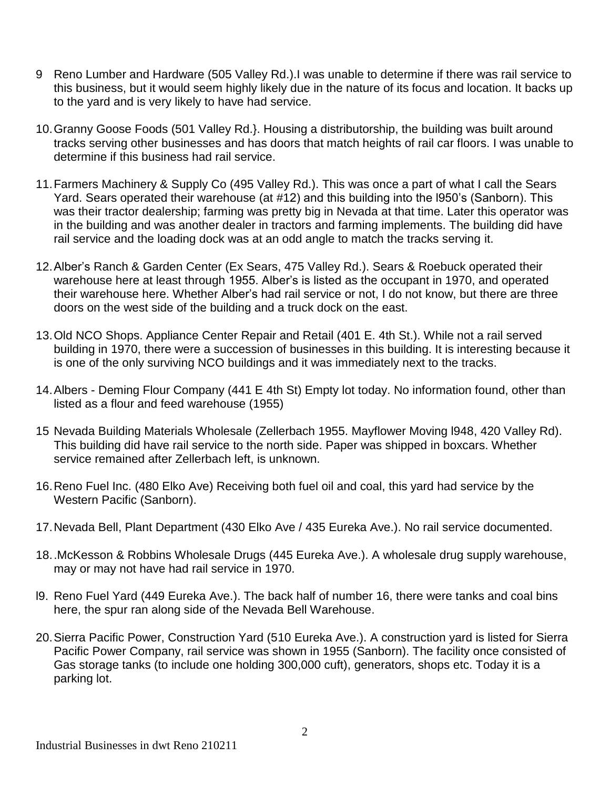- 9 Reno Lumber and Hardware (505 Valley Rd.).I was unable to determine if there was rail service to this business, but it would seem highly likely due in the nature of its focus and location. It backs up to the yard and is very likely to have had service.
- 10.Granny Goose Foods (501 Valley Rd.}. Housing a distributorship, the building was built around tracks serving other businesses and has doors that match heights of rail car floors. I was unable to determine if this business had rail service.
- 11.Farmers Machinery & Supply Co (495 Valley Rd.). This was once a part of what I call the Sears Yard. Sears operated their warehouse (at #12) and this building into the l950's (Sanborn). This was their tractor dealership; farming was pretty big in Nevada at that time. Later this operator was in the building and was another dealer in tractors and farming implements. The building did have rail service and the loading dock was at an odd angle to match the tracks serving it.
- 12.Alber's Ranch & Garden Center (Ex Sears, 475 Valley Rd.). Sears & Roebuck operated their warehouse here at least through 1955. Alber's is listed as the occupant in 1970, and operated their warehouse here. Whether Alber's had rail service or not, I do not know, but there are three doors on the west side of the building and a truck dock on the east.
- 13.Old NCO Shops. Appliance Center Repair and Retail (401 E. 4th St.). While not a rail served building in 1970, there were a succession of businesses in this building. It is interesting because it is one of the only surviving NCO buildings and it was immediately next to the tracks.
- 14.Albers Deming Flour Company (441 E 4th St) Empty lot today. No information found, other than listed as a flour and feed warehouse (1955)
- 15 Nevada Building Materials Wholesale (Zellerbach 1955. Mayflower Moving l948, 420 Valley Rd). This building did have rail service to the north side. Paper was shipped in boxcars. Whether service remained after Zellerbach left, is unknown.
- 16.Reno Fuel Inc. (480 Elko Ave) Receiving both fuel oil and coal, this yard had service by the Western Pacific (Sanborn).
- 17.Nevada Bell, Plant Department (430 Elko Ave / 435 Eureka Ave.). No rail service documented.
- 18..McKesson & Robbins Wholesale Drugs (445 Eureka Ave.). A wholesale drug supply warehouse, may or may not have had rail service in 1970.
- l9. Reno Fuel Yard (449 Eureka Ave.). The back half of number 16, there were tanks and coal bins here, the spur ran along side of the Nevada Bell Warehouse.
- 20.Sierra Pacific Power, Construction Yard (510 Eureka Ave.). A construction yard is listed for Sierra Pacific Power Company, rail service was shown in 1955 (Sanborn). The facility once consisted of Gas storage tanks (to include one holding 300,000 cuft), generators, shops etc. Today it is a parking lot.